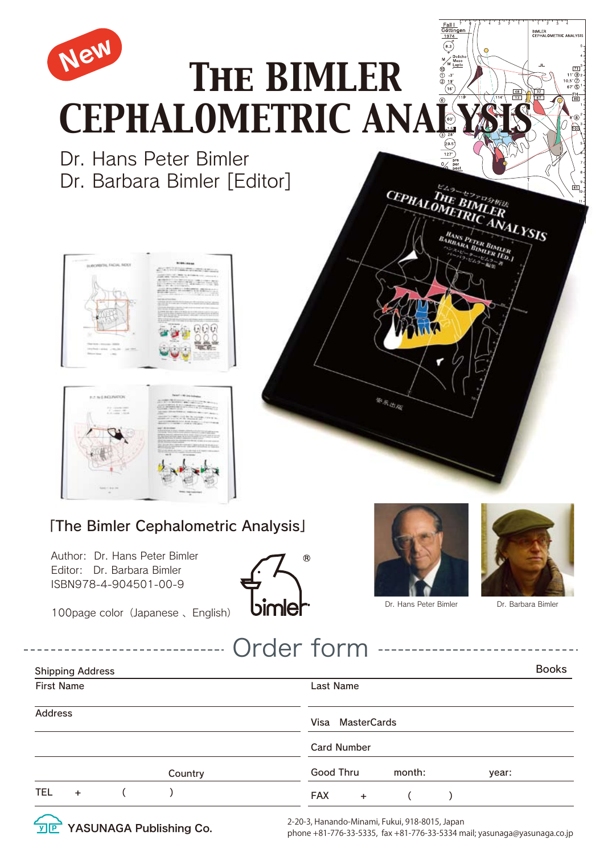

**y P** YASUNAGA Publishing Co.

2-20-3, Hanando-Minami, Fukui, 918-8015, Japan<br>phone +81-776-33-5335, fax +81-776-33-5334 mail; yasunaga@yasunaga.co.jp